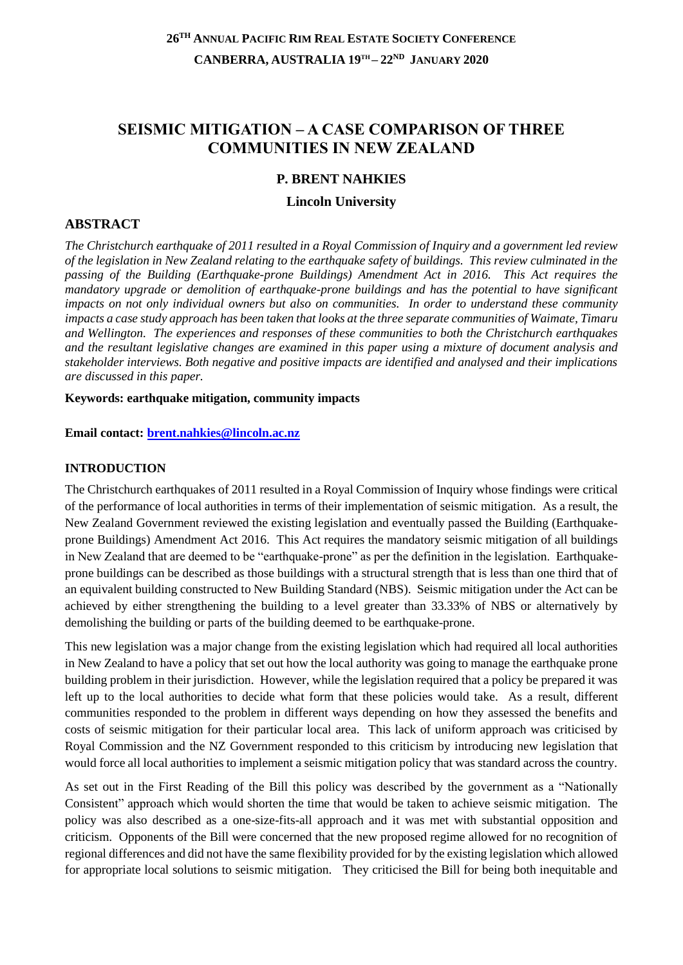# **SEISMIC MITIGATION – A CASE COMPARISON OF THREE COMMUNITIES IN NEW ZEALAND**

## **P. BRENT NAHKIES**

#### **Lincoln University**

#### **ABSTRACT**

*The Christchurch earthquake of 2011 resulted in a Royal Commission of Inquiry and a government led review of the legislation in New Zealand relating to the earthquake safety of buildings. This review culminated in the passing of the Building (Earthquake-prone Buildings) Amendment Act in 2016. This Act requires the mandatory upgrade or demolition of earthquake-prone buildings and has the potential to have significant impacts on not only individual owners but also on communities. In order to understand these community impacts a case study approach has been taken that looks at the three separate communities of Waimate, Timaru and Wellington. The experiences and responses of these communities to both the Christchurch earthquakes and the resultant legislative changes are examined in this paper using a mixture of document analysis and stakeholder interviews. Both negative and positive impacts are identified and analysed and their implications are discussed in this paper.*

#### **Keywords: earthquake mitigation, community impacts**

**Email contact: [brent.nahkies@lincoln.ac.nz](mailto:brent.nahkies@lincoln.ac.nz)**

#### **INTRODUCTION**

The Christchurch earthquakes of 2011 resulted in a Royal Commission of Inquiry whose findings were critical of the performance of local authorities in terms of their implementation of seismic mitigation. As a result, the New Zealand Government reviewed the existing legislation and eventually passed the Building (Earthquakeprone Buildings) Amendment Act 2016. This Act requires the mandatory seismic mitigation of all buildings in New Zealand that are deemed to be "earthquake-prone" as per the definition in the legislation. Earthquakeprone buildings can be described as those buildings with a structural strength that is less than one third that of an equivalent building constructed to New Building Standard (NBS). Seismic mitigation under the Act can be achieved by either strengthening the building to a level greater than 33.33% of NBS or alternatively by demolishing the building or parts of the building deemed to be earthquake-prone.

This new legislation was a major change from the existing legislation which had required all local authorities in New Zealand to have a policy that set out how the local authority was going to manage the earthquake prone building problem in their jurisdiction. However, while the legislation required that a policy be prepared it was left up to the local authorities to decide what form that these policies would take. As a result, different communities responded to the problem in different ways depending on how they assessed the benefits and costs of seismic mitigation for their particular local area. This lack of uniform approach was criticised by Royal Commission and the NZ Government responded to this criticism by introducing new legislation that would force all local authorities to implement a seismic mitigation policy that was standard across the country.

As set out in the First Reading of the Bill this policy was described by the government as a "Nationally Consistent" approach which would shorten the time that would be taken to achieve seismic mitigation. The policy was also described as a one-size-fits-all approach and it was met with substantial opposition and criticism. Opponents of the Bill were concerned that the new proposed regime allowed for no recognition of regional differences and did not have the same flexibility provided for by the existing legislation which allowed for appropriate local solutions to seismic mitigation. They criticised the Bill for being both inequitable and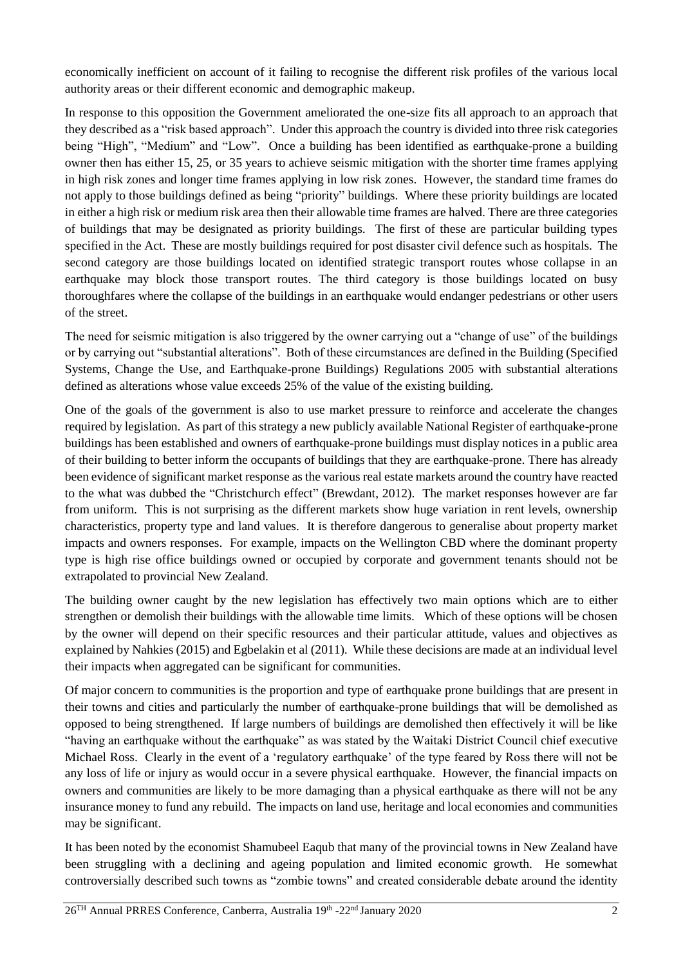economically inefficient on account of it failing to recognise the different risk profiles of the various local authority areas or their different economic and demographic makeup.

In response to this opposition the Government ameliorated the one-size fits all approach to an approach that they described as a "risk based approach". Under this approach the country is divided into three risk categories being "High", "Medium" and "Low". Once a building has been identified as earthquake-prone a building owner then has either 15, 25, or 35 years to achieve seismic mitigation with the shorter time frames applying in high risk zones and longer time frames applying in low risk zones. However, the standard time frames do not apply to those buildings defined as being "priority" buildings. Where these priority buildings are located in either a high risk or medium risk area then their allowable time frames are halved. There are three categories of buildings that may be designated as priority buildings. The first of these are particular building types specified in the Act. These are mostly buildings required for post disaster civil defence such as hospitals. The second category are those buildings located on identified strategic transport routes whose collapse in an earthquake may block those transport routes. The third category is those buildings located on busy thoroughfares where the collapse of the buildings in an earthquake would endanger pedestrians or other users of the street.

The need for seismic mitigation is also triggered by the owner carrying out a "change of use" of the buildings or by carrying out "substantial alterations". Both of these circumstances are defined in the Building (Specified Systems, Change the Use, and Earthquake-prone Buildings) Regulations 2005 with substantial alterations defined as alterations whose value exceeds 25% of the value of the existing building.

One of the goals of the government is also to use market pressure to reinforce and accelerate the changes required by legislation. As part of this strategy a new publicly available National Register of earthquake-prone buildings has been established and owners of earthquake-prone buildings must display notices in a public area of their building to better inform the occupants of buildings that they are earthquake-prone. There has already been evidence of significant market response as the various real estate markets around the country have reacted to the what was dubbed the "Christchurch effect" (Brewdant, 2012). The market responses however are far from uniform. This is not surprising as the different markets show huge variation in rent levels, ownership characteristics, property type and land values. It is therefore dangerous to generalise about property market impacts and owners responses. For example, impacts on the Wellington CBD where the dominant property type is high rise office buildings owned or occupied by corporate and government tenants should not be extrapolated to provincial New Zealand.

The building owner caught by the new legislation has effectively two main options which are to either strengthen or demolish their buildings with the allowable time limits. Which of these options will be chosen by the owner will depend on their specific resources and their particular attitude, values and objectives as explained by Nahkies (2015) and Egbelakin et al (2011). While these decisions are made at an individual level their impacts when aggregated can be significant for communities.

Of major concern to communities is the proportion and type of earthquake prone buildings that are present in their towns and cities and particularly the number of earthquake-prone buildings that will be demolished as opposed to being strengthened. If large numbers of buildings are demolished then effectively it will be like "having an earthquake without the earthquake" as was stated by the Waitaki District Council chief executive Michael Ross. Clearly in the event of a 'regulatory earthquake' of the type feared by Ross there will not be any loss of life or injury as would occur in a severe physical earthquake. However, the financial impacts on owners and communities are likely to be more damaging than a physical earthquake as there will not be any insurance money to fund any rebuild. The impacts on land use, heritage and local economies and communities may be significant.

It has been noted by the economist Shamubeel Eaqub that many of the provincial towns in New Zealand have been struggling with a declining and ageing population and limited economic growth. He somewhat controversially described such towns as "zombie towns" and created considerable debate around the identity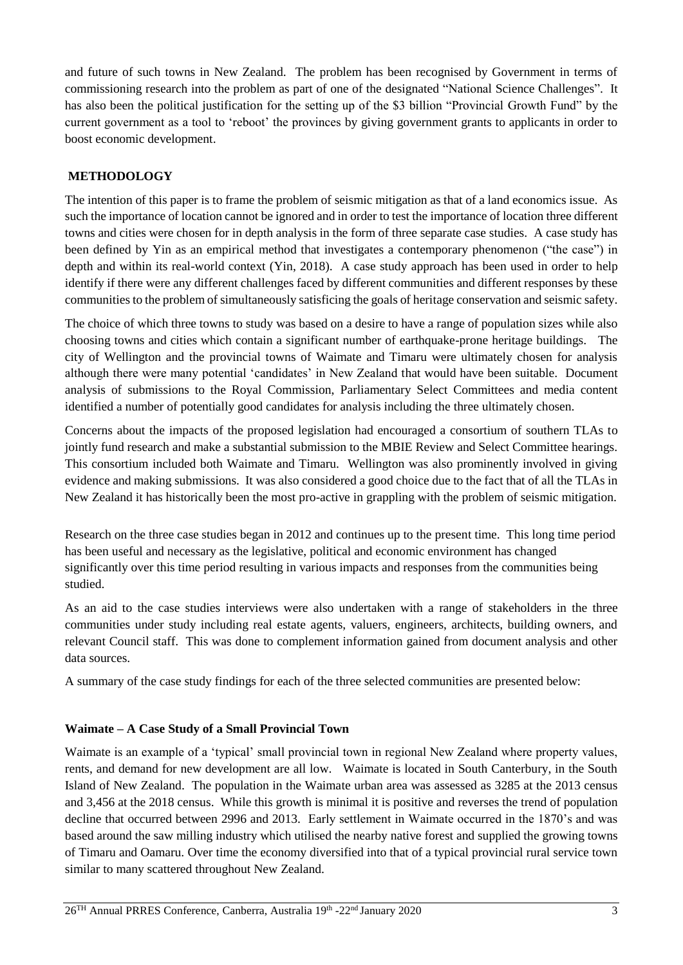and future of such towns in New Zealand. The problem has been recognised by Government in terms of commissioning research into the problem as part of one of the designated "National Science Challenges". It has also been the political justification for the setting up of the \$3 billion "Provincial Growth Fund" by the current government as a tool to 'reboot' the provinces by giving government grants to applicants in order to boost economic development.

# **METHODOLOGY**

The intention of this paper is to frame the problem of seismic mitigation as that of a land economics issue. As such the importance of location cannot be ignored and in order to test the importance of location three different towns and cities were chosen for in depth analysis in the form of three separate case studies. A case study has been defined by Yin as an empirical method that investigates a contemporary phenomenon ("the case") in depth and within its real-world context (Yin, 2018). A case study approach has been used in order to help identify if there were any different challenges faced by different communities and different responses by these communities to the problem of simultaneously satisficing the goals of heritage conservation and seismic safety.

The choice of which three towns to study was based on a desire to have a range of population sizes while also choosing towns and cities which contain a significant number of earthquake-prone heritage buildings. The city of Wellington and the provincial towns of Waimate and Timaru were ultimately chosen for analysis although there were many potential 'candidates' in New Zealand that would have been suitable. Document analysis of submissions to the Royal Commission, Parliamentary Select Committees and media content identified a number of potentially good candidates for analysis including the three ultimately chosen.

Concerns about the impacts of the proposed legislation had encouraged a consortium of southern TLAs to jointly fund research and make a substantial submission to the MBIE Review and Select Committee hearings. This consortium included both Waimate and Timaru. Wellington was also prominently involved in giving evidence and making submissions. It was also considered a good choice due to the fact that of all the TLAs in New Zealand it has historically been the most pro-active in grappling with the problem of seismic mitigation.

Research on the three case studies began in 2012 and continues up to the present time. This long time period has been useful and necessary as the legislative, political and economic environment has changed significantly over this time period resulting in various impacts and responses from the communities being studied.

As an aid to the case studies interviews were also undertaken with a range of stakeholders in the three communities under study including real estate agents, valuers, engineers, architects, building owners, and relevant Council staff. This was done to complement information gained from document analysis and other data sources.

A summary of the case study findings for each of the three selected communities are presented below:

## **Waimate – A Case Study of a Small Provincial Town**

Waimate is an example of a 'typical' small provincial town in regional New Zealand where property values, rents, and demand for new development are all low. Waimate is located in South Canterbury, in the South Island of New Zealand. The population in the Waimate urban area was assessed as 3285 at the 2013 census and 3,456 at the 2018 census. While this growth is minimal it is positive and reverses the trend of population decline that occurred between 2996 and 2013. Early settlement in Waimate occurred in the 1870's and was based around the saw milling industry which utilised the nearby native forest and supplied the growing towns of Timaru and Oamaru. Over time the economy diversified into that of a typical provincial rural service town similar to many scattered throughout New Zealand.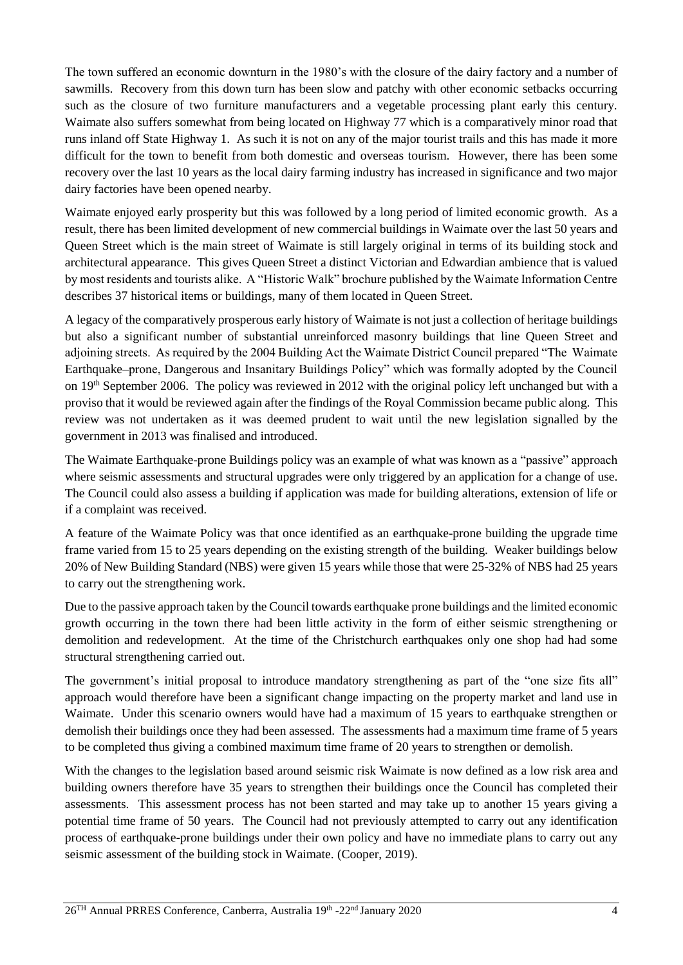The town suffered an economic downturn in the 1980's with the closure of the dairy factory and a number of sawmills. Recovery from this down turn has been slow and patchy with other economic setbacks occurring such as the closure of two furniture manufacturers and a vegetable processing plant early this century. Waimate also suffers somewhat from being located on Highway 77 which is a comparatively minor road that runs inland off State Highway 1. As such it is not on any of the major tourist trails and this has made it more difficult for the town to benefit from both domestic and overseas tourism. However, there has been some recovery over the last 10 years as the local dairy farming industry has increased in significance and two major dairy factories have been opened nearby.

Waimate enjoyed early prosperity but this was followed by a long period of limited economic growth. As a result, there has been limited development of new commercial buildings in Waimate over the last 50 years and Queen Street which is the main street of Waimate is still largely original in terms of its building stock and architectural appearance. This gives Queen Street a distinct Victorian and Edwardian ambience that is valued by most residents and tourists alike. A "Historic Walk" brochure published by the Waimate Information Centre describes 37 historical items or buildings, many of them located in Queen Street.

A legacy of the comparatively prosperous early history of Waimate is not just a collection of heritage buildings but also a significant number of substantial unreinforced masonry buildings that line Queen Street and adjoining streets. As required by the 2004 Building Act the Waimate District Council prepared "The Waimate Earthquake–prone, Dangerous and Insanitary Buildings Policy" which was formally adopted by the Council on 19<sup>th</sup> September 2006. The policy was reviewed in 2012 with the original policy left unchanged but with a proviso that it would be reviewed again after the findings of the Royal Commission became public along. This review was not undertaken as it was deemed prudent to wait until the new legislation signalled by the government in 2013 was finalised and introduced.

The Waimate Earthquake-prone Buildings policy was an example of what was known as a "passive" approach where seismic assessments and structural upgrades were only triggered by an application for a change of use. The Council could also assess a building if application was made for building alterations, extension of life or if a complaint was received.

A feature of the Waimate Policy was that once identified as an earthquake-prone building the upgrade time frame varied from 15 to 25 years depending on the existing strength of the building. Weaker buildings below 20% of New Building Standard (NBS) were given 15 years while those that were 25-32% of NBS had 25 years to carry out the strengthening work.

Due to the passive approach taken by the Council towards earthquake prone buildings and the limited economic growth occurring in the town there had been little activity in the form of either seismic strengthening or demolition and redevelopment. At the time of the Christchurch earthquakes only one shop had had some structural strengthening carried out.

The government's initial proposal to introduce mandatory strengthening as part of the "one size fits all" approach would therefore have been a significant change impacting on the property market and land use in Waimate. Under this scenario owners would have had a maximum of 15 years to earthquake strengthen or demolish their buildings once they had been assessed. The assessments had a maximum time frame of 5 years to be completed thus giving a combined maximum time frame of 20 years to strengthen or demolish.

With the changes to the legislation based around seismic risk Waimate is now defined as a low risk area and building owners therefore have 35 years to strengthen their buildings once the Council has completed their assessments. This assessment process has not been started and may take up to another 15 years giving a potential time frame of 50 years. The Council had not previously attempted to carry out any identification process of earthquake-prone buildings under their own policy and have no immediate plans to carry out any seismic assessment of the building stock in Waimate. (Cooper, 2019).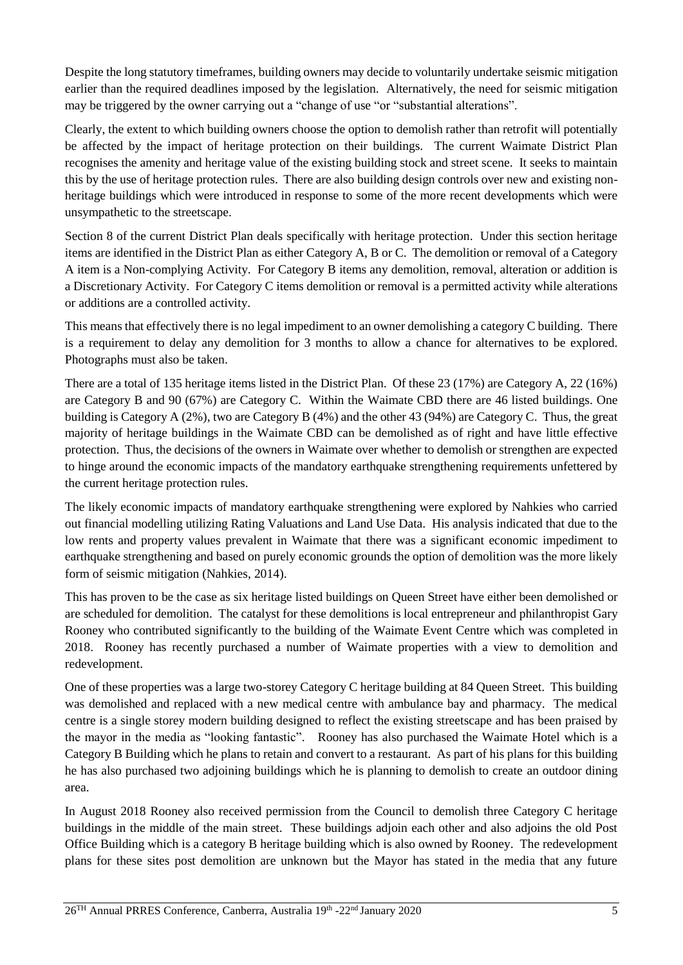Despite the long statutory timeframes, building owners may decide to voluntarily undertake seismic mitigation earlier than the required deadlines imposed by the legislation. Alternatively, the need for seismic mitigation may be triggered by the owner carrying out a "change of use "or "substantial alterations".

Clearly, the extent to which building owners choose the option to demolish rather than retrofit will potentially be affected by the impact of heritage protection on their buildings. The current Waimate District Plan recognises the amenity and heritage value of the existing building stock and street scene. It seeks to maintain this by the use of heritage protection rules. There are also building design controls over new and existing nonheritage buildings which were introduced in response to some of the more recent developments which were unsympathetic to the streetscape.

Section 8 of the current District Plan deals specifically with heritage protection. Under this section heritage items are identified in the District Plan as either Category A, B or C. The demolition or removal of a Category A item is a Non-complying Activity. For Category B items any demolition, removal, alteration or addition is a Discretionary Activity. For Category C items demolition or removal is a permitted activity while alterations or additions are a controlled activity.

This means that effectively there is no legal impediment to an owner demolishing a category C building. There is a requirement to delay any demolition for 3 months to allow a chance for alternatives to be explored. Photographs must also be taken.

There are a total of 135 heritage items listed in the District Plan. Of these 23 (17%) are Category A, 22 (16%) are Category B and 90 (67%) are Category C. Within the Waimate CBD there are 46 listed buildings. One building is Category A (2%), two are Category B (4%) and the other 43 (94%) are Category C. Thus, the great majority of heritage buildings in the Waimate CBD can be demolished as of right and have little effective protection. Thus, the decisions of the owners in Waimate over whether to demolish or strengthen are expected to hinge around the economic impacts of the mandatory earthquake strengthening requirements unfettered by the current heritage protection rules.

The likely economic impacts of mandatory earthquake strengthening were explored by Nahkies who carried out financial modelling utilizing Rating Valuations and Land Use Data. His analysis indicated that due to the low rents and property values prevalent in Waimate that there was a significant economic impediment to earthquake strengthening and based on purely economic grounds the option of demolition was the more likely form of seismic mitigation (Nahkies, 2014).

This has proven to be the case as six heritage listed buildings on Queen Street have either been demolished or are scheduled for demolition. The catalyst for these demolitions is local entrepreneur and philanthropist Gary Rooney who contributed significantly to the building of the Waimate Event Centre which was completed in 2018. Rooney has recently purchased a number of Waimate properties with a view to demolition and redevelopment.

One of these properties was a large two-storey Category C heritage building at 84 Queen Street. This building was demolished and replaced with a new medical centre with ambulance bay and pharmacy. The medical centre is a single storey modern building designed to reflect the existing streetscape and has been praised by the mayor in the media as "looking fantastic". Rooney has also purchased the Waimate Hotel which is a Category B Building which he plans to retain and convert to a restaurant. As part of his plans for this building he has also purchased two adjoining buildings which he is planning to demolish to create an outdoor dining area.

In August 2018 Rooney also received permission from the Council to demolish three Category C heritage buildings in the middle of the main street. These buildings adjoin each other and also adjoins the old Post Office Building which is a category B heritage building which is also owned by Rooney. The redevelopment plans for these sites post demolition are unknown but the Mayor has stated in the media that any future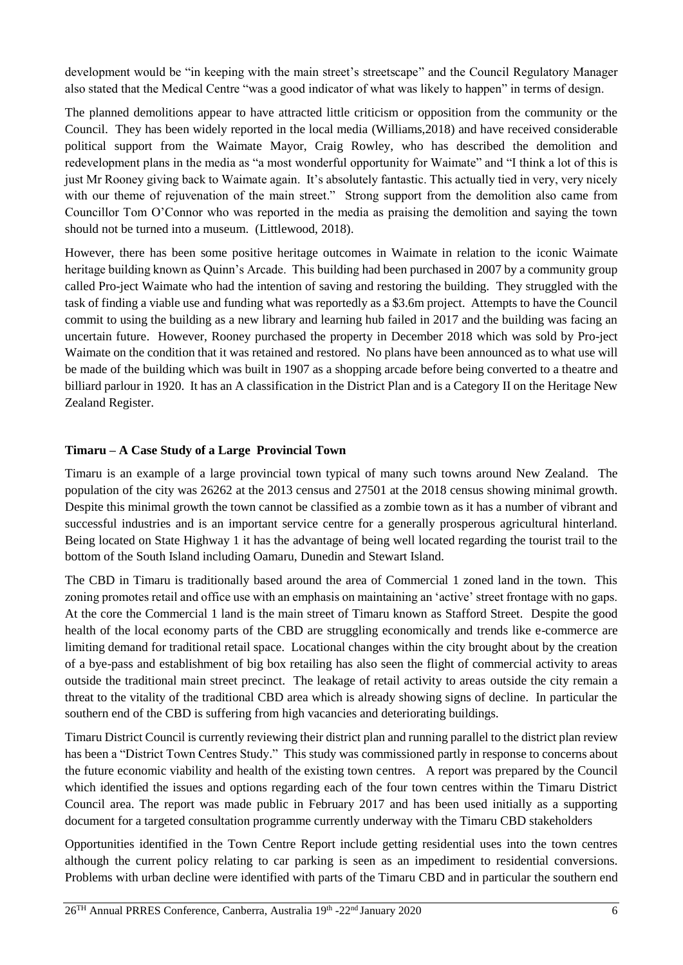development would be "in keeping with the main street's streetscape" and the Council Regulatory Manager also stated that the Medical Centre "was a good indicator of what was likely to happen" in terms of design.

The planned demolitions appear to have attracted little criticism or opposition from the community or the Council. They has been widely reported in the local media (Williams,2018) and have received considerable political support from the Waimate Mayor, Craig Rowley, who has described the demolition and redevelopment plans in the media as "a most wonderful opportunity for Waimate" and "I think a lot of this is just Mr Rooney giving back to Waimate again. It's absolutely fantastic. This actually tied in very, very nicely with our theme of rejuvenation of the main street." Strong support from the demolition also came from Councillor Tom O'Connor who was reported in the media as praising the demolition and saying the town should not be turned into a museum. (Littlewood, 2018).

However, there has been some positive heritage outcomes in Waimate in relation to the iconic Waimate heritage building known as Quinn's Arcade. This building had been purchased in 2007 by a community group called Pro-ject Waimate who had the intention of saving and restoring the building. They struggled with the task of finding a viable use and funding what was reportedly as a \$3.6m project. Attempts to have the Council commit to using the building as a new library and learning hub failed in 2017 and the building was facing an uncertain future. However, Rooney purchased the property in December 2018 which was sold by Pro-ject Waimate on the condition that it was retained and restored. No plans have been announced as to what use will be made of the building which was built in 1907 as a shopping arcade before being converted to a theatre and billiard parlour in 1920. It has an A classification in the District Plan and is a Category II on the Heritage New Zealand Register.

#### **Timaru – A Case Study of a Large Provincial Town**

Timaru is an example of a large provincial town typical of many such towns around New Zealand. The population of the city was 26262 at the 2013 census and 27501 at the 2018 census showing minimal growth. Despite this minimal growth the town cannot be classified as a zombie town as it has a number of vibrant and successful industries and is an important service centre for a generally prosperous agricultural hinterland. Being located on State Highway 1 it has the advantage of being well located regarding the tourist trail to the bottom of the South Island including Oamaru, Dunedin and Stewart Island.

The CBD in Timaru is traditionally based around the area of Commercial 1 zoned land in the town. This zoning promotes retail and office use with an emphasis on maintaining an 'active' street frontage with no gaps. At the core the Commercial 1 land is the main street of Timaru known as Stafford Street. Despite the good health of the local economy parts of the CBD are struggling economically and trends like e-commerce are limiting demand for traditional retail space. Locational changes within the city brought about by the creation of a bye-pass and establishment of big box retailing has also seen the flight of commercial activity to areas outside the traditional main street precinct. The leakage of retail activity to areas outside the city remain a threat to the vitality of the traditional CBD area which is already showing signs of decline. In particular the southern end of the CBD is suffering from high vacancies and deteriorating buildings.

Timaru District Council is currently reviewing their district plan and running parallel to the district plan review has been a "District Town Centres Study." This study was commissioned partly in response to concerns about the future economic viability and health of the existing town centres. A report was prepared by the Council which identified the issues and options regarding each of the four town centres within the Timaru District Council area. The report was made public in February 2017 and has been used initially as a supporting document for a targeted consultation programme currently underway with the Timaru CBD stakeholders

Opportunities identified in the Town Centre Report include getting residential uses into the town centres although the current policy relating to car parking is seen as an impediment to residential conversions. Problems with urban decline were identified with parts of the Timaru CBD and in particular the southern end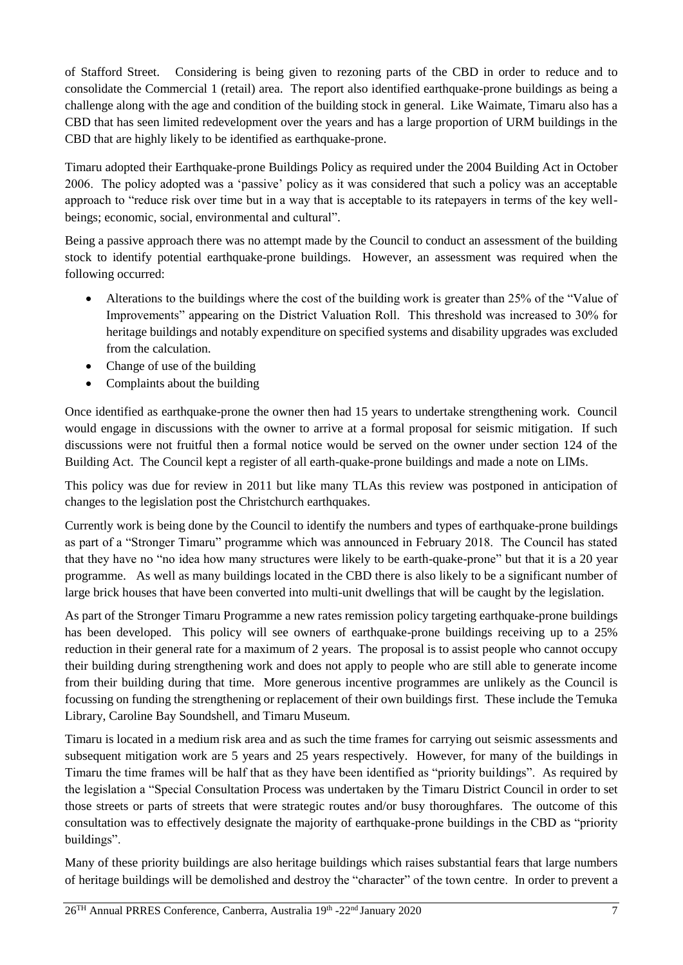of Stafford Street. Considering is being given to rezoning parts of the CBD in order to reduce and to consolidate the Commercial 1 (retail) area. The report also identified earthquake-prone buildings as being a challenge along with the age and condition of the building stock in general. Like Waimate, Timaru also has a CBD that has seen limited redevelopment over the years and has a large proportion of URM buildings in the CBD that are highly likely to be identified as earthquake-prone.

Timaru adopted their Earthquake-prone Buildings Policy as required under the 2004 Building Act in October 2006. The policy adopted was a 'passive' policy as it was considered that such a policy was an acceptable approach to "reduce risk over time but in a way that is acceptable to its ratepayers in terms of the key wellbeings; economic, social, environmental and cultural".

Being a passive approach there was no attempt made by the Council to conduct an assessment of the building stock to identify potential earthquake-prone buildings. However, an assessment was required when the following occurred:

- Alterations to the buildings where the cost of the building work is greater than 25% of the "Value of Improvements" appearing on the District Valuation Roll. This threshold was increased to 30% for heritage buildings and notably expenditure on specified systems and disability upgrades was excluded from the calculation.
- Change of use of the building
- Complaints about the building

Once identified as earthquake-prone the owner then had 15 years to undertake strengthening work. Council would engage in discussions with the owner to arrive at a formal proposal for seismic mitigation. If such discussions were not fruitful then a formal notice would be served on the owner under section 124 of the Building Act. The Council kept a register of all earth-quake-prone buildings and made a note on LIMs.

This policy was due for review in 2011 but like many TLAs this review was postponed in anticipation of changes to the legislation post the Christchurch earthquakes.

Currently work is being done by the Council to identify the numbers and types of earthquake-prone buildings as part of a "Stronger Timaru" programme which was announced in February 2018. The Council has stated that they have no "no idea how many structures were likely to be earth-quake-prone" but that it is a 20 year programme. As well as many buildings located in the CBD there is also likely to be a significant number of large brick houses that have been converted into multi-unit dwellings that will be caught by the legislation.

As part of the Stronger Timaru Programme a new rates remission policy targeting earthquake-prone buildings has been developed. This policy will see owners of earthquake-prone buildings receiving up to a 25% reduction in their general rate for a maximum of 2 years. The proposal is to assist people who cannot occupy their building during strengthening work and does not apply to people who are still able to generate income from their building during that time. More generous incentive programmes are unlikely as the Council is focussing on funding the strengthening or replacement of their own buildings first. These include the Temuka Library, Caroline Bay Soundshell, and Timaru Museum.

Timaru is located in a medium risk area and as such the time frames for carrying out seismic assessments and subsequent mitigation work are 5 years and 25 years respectively. However, for many of the buildings in Timaru the time frames will be half that as they have been identified as "priority buildings". As required by the legislation a "Special Consultation Process was undertaken by the Timaru District Council in order to set those streets or parts of streets that were strategic routes and/or busy thoroughfares. The outcome of this consultation was to effectively designate the majority of earthquake-prone buildings in the CBD as "priority buildings".

Many of these priority buildings are also heritage buildings which raises substantial fears that large numbers of heritage buildings will be demolished and destroy the "character" of the town centre. In order to prevent a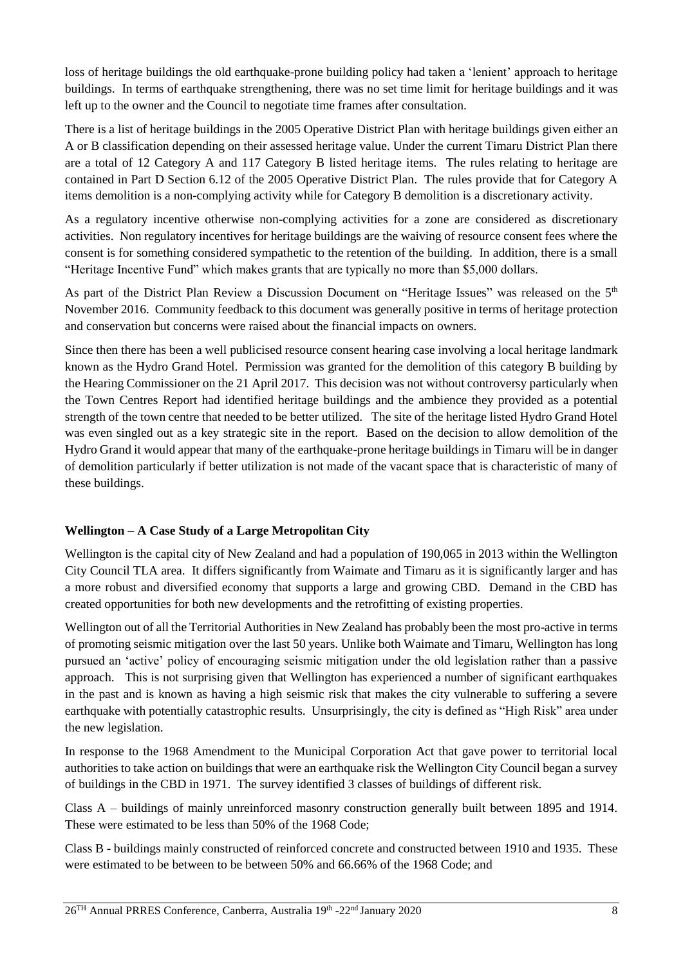loss of heritage buildings the old earthquake-prone building policy had taken a 'lenient' approach to heritage buildings. In terms of earthquake strengthening, there was no set time limit for heritage buildings and it was left up to the owner and the Council to negotiate time frames after consultation.

There is a list of heritage buildings in the 2005 Operative District Plan with heritage buildings given either an A or B classification depending on their assessed heritage value. Under the current Timaru District Plan there are a total of 12 Category A and 117 Category B listed heritage items. The rules relating to heritage are contained in Part D Section 6.12 of the 2005 Operative District Plan. The rules provide that for Category A items demolition is a non-complying activity while for Category B demolition is a discretionary activity.

As a regulatory incentive otherwise non-complying activities for a zone are considered as discretionary activities. Non regulatory incentives for heritage buildings are the waiving of resource consent fees where the consent is for something considered sympathetic to the retention of the building. In addition, there is a small "Heritage Incentive Fund" which makes grants that are typically no more than \$5,000 dollars.

As part of the District Plan Review a Discussion Document on "Heritage Issues" was released on the 5<sup>th</sup> November 2016. Community feedback to this document was generally positive in terms of heritage protection and conservation but concerns were raised about the financial impacts on owners.

Since then there has been a well publicised resource consent hearing case involving a local heritage landmark known as the Hydro Grand Hotel. Permission was granted for the demolition of this category B building by the Hearing Commissioner on the 21 April 2017. This decision was not without controversy particularly when the Town Centres Report had identified heritage buildings and the ambience they provided as a potential strength of the town centre that needed to be better utilized. The site of the heritage listed Hydro Grand Hotel was even singled out as a key strategic site in the report. Based on the decision to allow demolition of the Hydro Grand it would appear that many of the earthquake-prone heritage buildings in Timaru will be in danger of demolition particularly if better utilization is not made of the vacant space that is characteristic of many of these buildings.

## **Wellington – A Case Study of a Large Metropolitan City**

Wellington is the capital city of New Zealand and had a population of 190,065 in 2013 within the Wellington City Council TLA area. It differs significantly from Waimate and Timaru as it is significantly larger and has a more robust and diversified economy that supports a large and growing CBD. Demand in the CBD has created opportunities for both new developments and the retrofitting of existing properties.

Wellington out of all the Territorial Authorities in New Zealand has probably been the most pro-active in terms of promoting seismic mitigation over the last 50 years. Unlike both Waimate and Timaru, Wellington has long pursued an 'active' policy of encouraging seismic mitigation under the old legislation rather than a passive approach. This is not surprising given that Wellington has experienced a number of significant earthquakes in the past and is known as having a high seismic risk that makes the city vulnerable to suffering a severe earthquake with potentially catastrophic results. Unsurprisingly, the city is defined as "High Risk" area under the new legislation.

In response to the 1968 Amendment to the Municipal Corporation Act that gave power to territorial local authorities to take action on buildings that were an earthquake risk the Wellington City Council began a survey of buildings in the CBD in 1971. The survey identified 3 classes of buildings of different risk.

Class A – buildings of mainly unreinforced masonry construction generally built between 1895 and 1914. These were estimated to be less than 50% of the 1968 Code;

Class B - buildings mainly constructed of reinforced concrete and constructed between 1910 and 1935. These were estimated to be between to be between 50% and 66.66% of the 1968 Code; and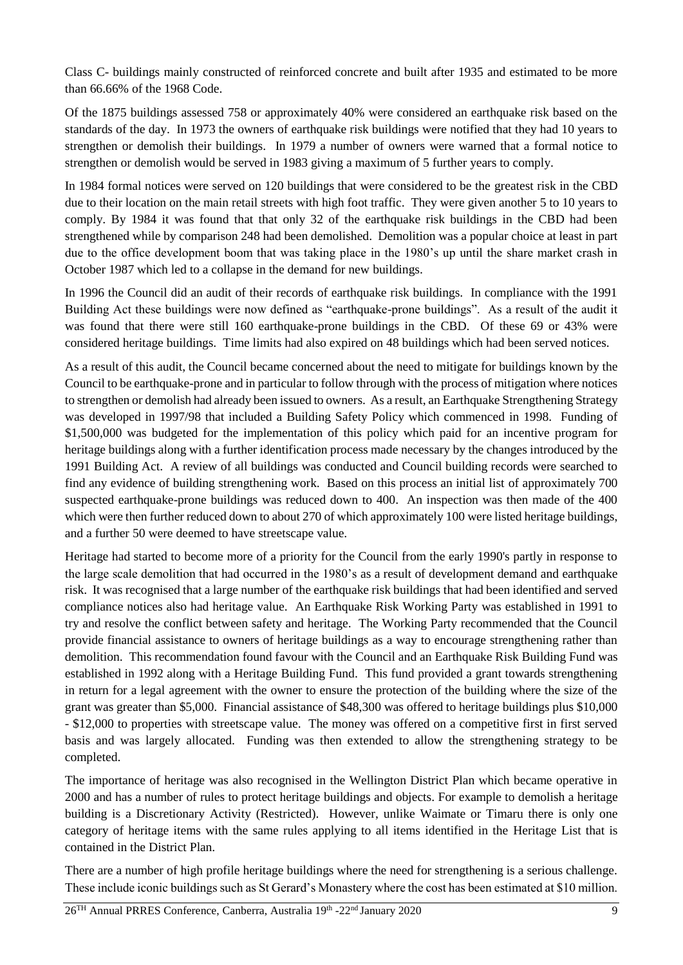Class C- buildings mainly constructed of reinforced concrete and built after 1935 and estimated to be more than 66.66% of the 1968 Code.

Of the 1875 buildings assessed 758 or approximately 40% were considered an earthquake risk based on the standards of the day. In 1973 the owners of earthquake risk buildings were notified that they had 10 years to strengthen or demolish their buildings. In 1979 a number of owners were warned that a formal notice to strengthen or demolish would be served in 1983 giving a maximum of 5 further years to comply.

In 1984 formal notices were served on 120 buildings that were considered to be the greatest risk in the CBD due to their location on the main retail streets with high foot traffic. They were given another 5 to 10 years to comply. By 1984 it was found that that only 32 of the earthquake risk buildings in the CBD had been strengthened while by comparison 248 had been demolished. Demolition was a popular choice at least in part due to the office development boom that was taking place in the 1980's up until the share market crash in October 1987 which led to a collapse in the demand for new buildings.

In 1996 the Council did an audit of their records of earthquake risk buildings. In compliance with the 1991 Building Act these buildings were now defined as "earthquake-prone buildings". As a result of the audit it was found that there were still 160 earthquake-prone buildings in the CBD. Of these 69 or 43% were considered heritage buildings. Time limits had also expired on 48 buildings which had been served notices.

As a result of this audit, the Council became concerned about the need to mitigate for buildings known by the Council to be earthquake-prone and in particular to follow through with the process of mitigation where notices to strengthen or demolish had already been issued to owners. As a result, an Earthquake Strengthening Strategy was developed in 1997/98 that included a Building Safety Policy which commenced in 1998. Funding of \$1,500,000 was budgeted for the implementation of this policy which paid for an incentive program for heritage buildings along with a further identification process made necessary by the changes introduced by the 1991 Building Act. A review of all buildings was conducted and Council building records were searched to find any evidence of building strengthening work. Based on this process an initial list of approximately 700 suspected earthquake-prone buildings was reduced down to 400. An inspection was then made of the 400 which were then further reduced down to about 270 of which approximately 100 were listed heritage buildings, and a further 50 were deemed to have streetscape value.

Heritage had started to become more of a priority for the Council from the early 1990's partly in response to the large scale demolition that had occurred in the 1980's as a result of development demand and earthquake risk. It was recognised that a large number of the earthquake risk buildings that had been identified and served compliance notices also had heritage value. An Earthquake Risk Working Party was established in 1991 to try and resolve the conflict between safety and heritage. The Working Party recommended that the Council provide financial assistance to owners of heritage buildings as a way to encourage strengthening rather than demolition. This recommendation found favour with the Council and an Earthquake Risk Building Fund was established in 1992 along with a Heritage Building Fund. This fund provided a grant towards strengthening in return for a legal agreement with the owner to ensure the protection of the building where the size of the grant was greater than \$5,000. Financial assistance of \$48,300 was offered to heritage buildings plus \$10,000 - \$12,000 to properties with streetscape value. The money was offered on a competitive first in first served basis and was largely allocated. Funding was then extended to allow the strengthening strategy to be completed.

The importance of heritage was also recognised in the Wellington District Plan which became operative in 2000 and has a number of rules to protect heritage buildings and objects. For example to demolish a heritage building is a Discretionary Activity (Restricted). However, unlike Waimate or Timaru there is only one category of heritage items with the same rules applying to all items identified in the Heritage List that is contained in the District Plan.

There are a number of high profile heritage buildings where the need for strengthening is a serious challenge. These include iconic buildings such as St Gerard's Monastery where the cost has been estimated at \$10 million.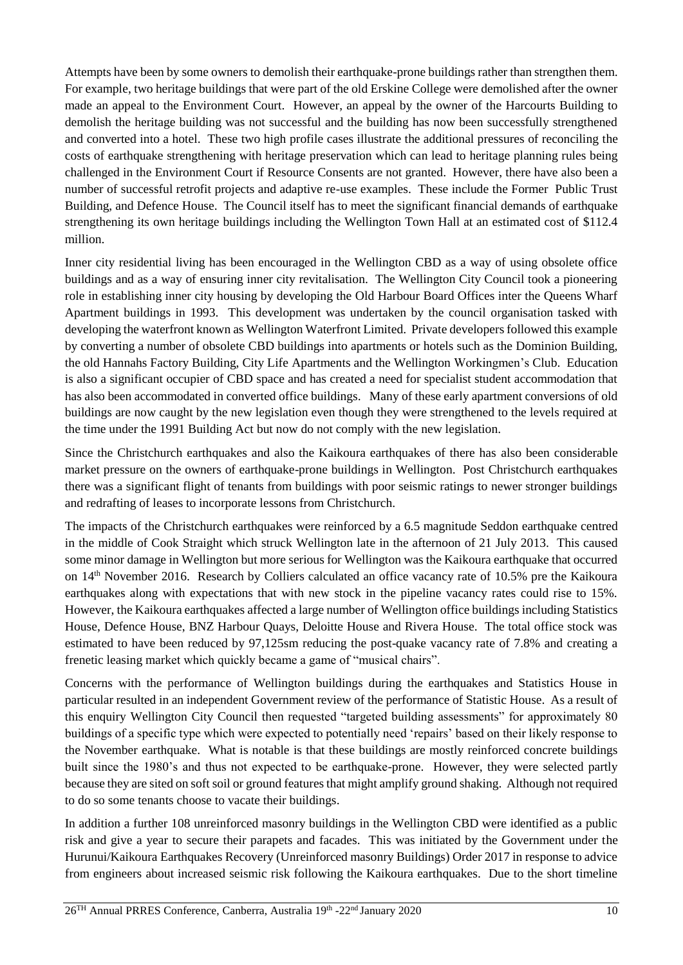Attempts have been by some owners to demolish their earthquake-prone buildings rather than strengthen them. For example, two heritage buildings that were part of the old Erskine College were demolished after the owner made an appeal to the Environment Court. However, an appeal by the owner of the Harcourts Building to demolish the heritage building was not successful and the building has now been successfully strengthened and converted into a hotel. These two high profile cases illustrate the additional pressures of reconciling the costs of earthquake strengthening with heritage preservation which can lead to heritage planning rules being challenged in the Environment Court if Resource Consents are not granted. However, there have also been a number of successful retrofit projects and adaptive re-use examples. These include the Former Public Trust Building, and Defence House. The Council itself has to meet the significant financial demands of earthquake strengthening its own heritage buildings including the Wellington Town Hall at an estimated cost of \$112.4 million.

Inner city residential living has been encouraged in the Wellington CBD as a way of using obsolete office buildings and as a way of ensuring inner city revitalisation. The Wellington City Council took a pioneering role in establishing inner city housing by developing the Old Harbour Board Offices inter the Queens Wharf Apartment buildings in 1993. This development was undertaken by the council organisation tasked with developing the waterfront known as Wellington Waterfront Limited. Private developers followed this example by converting a number of obsolete CBD buildings into apartments or hotels such as the Dominion Building, the old Hannahs Factory Building, City Life Apartments and the Wellington Workingmen's Club. Education is also a significant occupier of CBD space and has created a need for specialist student accommodation that has also been accommodated in converted office buildings. Many of these early apartment conversions of old buildings are now caught by the new legislation even though they were strengthened to the levels required at the time under the 1991 Building Act but now do not comply with the new legislation.

Since the Christchurch earthquakes and also the Kaikoura earthquakes of there has also been considerable market pressure on the owners of earthquake-prone buildings in Wellington. Post Christchurch earthquakes there was a significant flight of tenants from buildings with poor seismic ratings to newer stronger buildings and redrafting of leases to incorporate lessons from Christchurch.

The impacts of the Christchurch earthquakes were reinforced by a 6.5 magnitude Seddon earthquake centred in the middle of Cook Straight which struck Wellington late in the afternoon of 21 July 2013. This caused some minor damage in Wellington but more serious for Wellington was the Kaikoura earthquake that occurred on 14th November 2016. Research by Colliers calculated an office vacancy rate of 10.5% pre the Kaikoura earthquakes along with expectations that with new stock in the pipeline vacancy rates could rise to 15%. However, the Kaikoura earthquakes affected a large number of Wellington office buildings including Statistics House, Defence House, BNZ Harbour Quays, Deloitte House and Rivera House. The total office stock was estimated to have been reduced by 97,125sm reducing the post-quake vacancy rate of 7.8% and creating a frenetic leasing market which quickly became a game of "musical chairs".

Concerns with the performance of Wellington buildings during the earthquakes and Statistics House in particular resulted in an independent Government review of the performance of Statistic House. As a result of this enquiry Wellington City Council then requested "targeted building assessments" for approximately 80 buildings of a specific type which were expected to potentially need 'repairs' based on their likely response to the November earthquake. What is notable is that these buildings are mostly reinforced concrete buildings built since the 1980's and thus not expected to be earthquake-prone. However, they were selected partly because they are sited on soft soil or ground features that might amplify ground shaking. Although not required to do so some tenants choose to vacate their buildings.

In addition a further 108 unreinforced masonry buildings in the Wellington CBD were identified as a public risk and give a year to secure their parapets and facades. This was initiated by the Government under the Hurunui/Kaikoura Earthquakes Recovery (Unreinforced masonry Buildings) Order 2017 in response to advice from engineers about increased seismic risk following the Kaikoura earthquakes. Due to the short timeline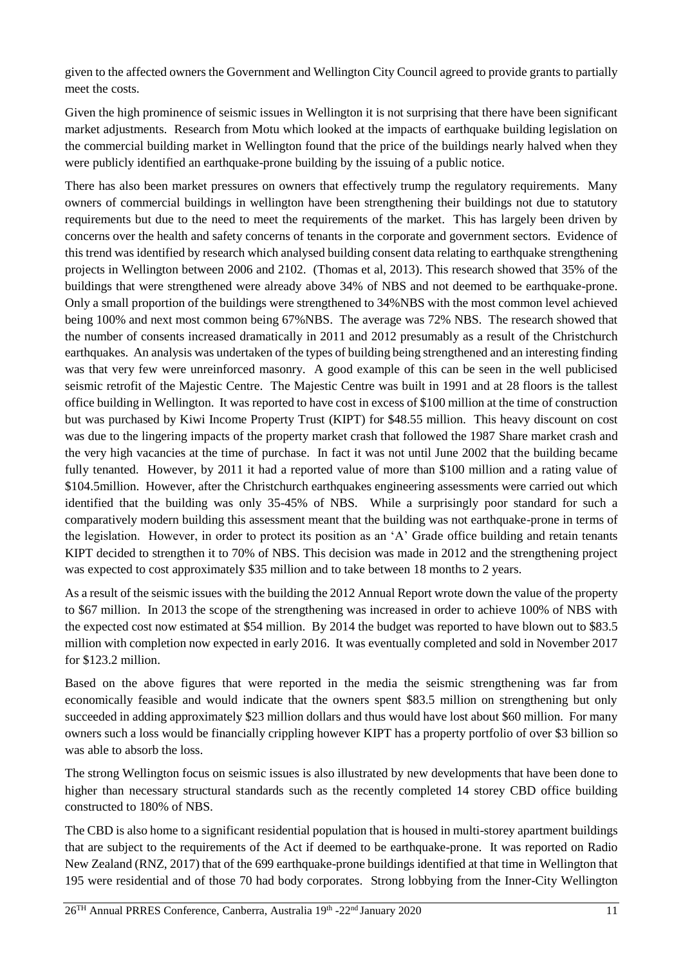given to the affected owners the Government and Wellington City Council agreed to provide grants to partially meet the costs.

Given the high prominence of seismic issues in Wellington it is not surprising that there have been significant market adjustments. Research from Motu which looked at the impacts of earthquake building legislation on the commercial building market in Wellington found that the price of the buildings nearly halved when they were publicly identified an earthquake-prone building by the issuing of a public notice.

There has also been market pressures on owners that effectively trump the regulatory requirements. Many owners of commercial buildings in wellington have been strengthening their buildings not due to statutory requirements but due to the need to meet the requirements of the market. This has largely been driven by concerns over the health and safety concerns of tenants in the corporate and government sectors. Evidence of this trend was identified by research which analysed building consent data relating to earthquake strengthening projects in Wellington between 2006 and 2102. (Thomas et al, 2013). This research showed that 35% of the buildings that were strengthened were already above 34% of NBS and not deemed to be earthquake-prone. Only a small proportion of the buildings were strengthened to 34%NBS with the most common level achieved being 100% and next most common being 67%NBS. The average was 72% NBS. The research showed that the number of consents increased dramatically in 2011 and 2012 presumably as a result of the Christchurch earthquakes. An analysis was undertaken of the types of building being strengthened and an interesting finding was that very few were unreinforced masonry. A good example of this can be seen in the well publicised seismic retrofit of the Majestic Centre. The Majestic Centre was built in 1991 and at 28 floors is the tallest office building in Wellington. It was reported to have cost in excess of \$100 million at the time of construction but was purchased by Kiwi Income Property Trust (KIPT) for \$48.55 million. This heavy discount on cost was due to the lingering impacts of the property market crash that followed the 1987 Share market crash and the very high vacancies at the time of purchase. In fact it was not until June 2002 that the building became fully tenanted. However, by 2011 it had a reported value of more than \$100 million and a rating value of \$104.5million. However, after the Christchurch earthquakes engineering assessments were carried out which identified that the building was only 35-45% of NBS. While a surprisingly poor standard for such a comparatively modern building this assessment meant that the building was not earthquake-prone in terms of the legislation. However, in order to protect its position as an 'A' Grade office building and retain tenants KIPT decided to strengthen it to 70% of NBS. This decision was made in 2012 and the strengthening project was expected to cost approximately \$35 million and to take between 18 months to 2 years.

As a result of the seismic issues with the building the 2012 Annual Report wrote down the value of the property to \$67 million. In 2013 the scope of the strengthening was increased in order to achieve 100% of NBS with the expected cost now estimated at \$54 million. By 2014 the budget was reported to have blown out to \$83.5 million with completion now expected in early 2016. It was eventually completed and sold in November 2017 for \$123.2 million.

Based on the above figures that were reported in the media the seismic strengthening was far from economically feasible and would indicate that the owners spent \$83.5 million on strengthening but only succeeded in adding approximately \$23 million dollars and thus would have lost about \$60 million. For many owners such a loss would be financially crippling however KIPT has a property portfolio of over \$3 billion so was able to absorb the loss.

The strong Wellington focus on seismic issues is also illustrated by new developments that have been done to higher than necessary structural standards such as the recently completed 14 storey CBD office building constructed to 180% of NBS.

The CBD is also home to a significant residential population that is housed in multi-storey apartment buildings that are subject to the requirements of the Act if deemed to be earthquake-prone. It was reported on Radio New Zealand (RNZ, 2017) that of the 699 earthquake-prone buildings identified at that time in Wellington that 195 were residential and of those 70 had body corporates. Strong lobbying from the Inner-City Wellington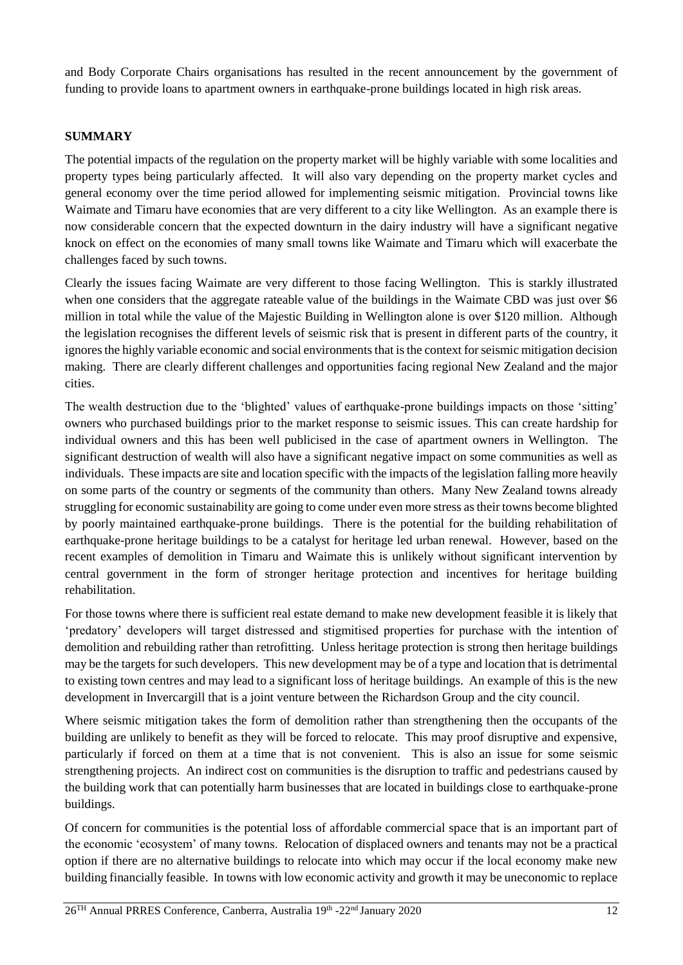and Body Corporate Chairs organisations has resulted in the recent announcement by the government of funding to provide loans to apartment owners in earthquake-prone buildings located in high risk areas.

### **SUMMARY**

The potential impacts of the regulation on the property market will be highly variable with some localities and property types being particularly affected. It will also vary depending on the property market cycles and general economy over the time period allowed for implementing seismic mitigation. Provincial towns like Waimate and Timaru have economies that are very different to a city like Wellington. As an example there is now considerable concern that the expected downturn in the dairy industry will have a significant negative knock on effect on the economies of many small towns like Waimate and Timaru which will exacerbate the challenges faced by such towns.

Clearly the issues facing Waimate are very different to those facing Wellington. This is starkly illustrated when one considers that the aggregate rateable value of the buildings in the Waimate CBD was just over \$6 million in total while the value of the Majestic Building in Wellington alone is over \$120 million. Although the legislation recognises the different levels of seismic risk that is present in different parts of the country, it ignores the highly variable economic and social environments that is the context for seismic mitigation decision making. There are clearly different challenges and opportunities facing regional New Zealand and the major cities.

The wealth destruction due to the 'blighted' values of earthquake-prone buildings impacts on those 'sitting' owners who purchased buildings prior to the market response to seismic issues. This can create hardship for individual owners and this has been well publicised in the case of apartment owners in Wellington. The significant destruction of wealth will also have a significant negative impact on some communities as well as individuals. These impacts are site and location specific with the impacts of the legislation falling more heavily on some parts of the country or segments of the community than others. Many New Zealand towns already struggling for economic sustainability are going to come under even more stress as their towns become blighted by poorly maintained earthquake-prone buildings. There is the potential for the building rehabilitation of earthquake-prone heritage buildings to be a catalyst for heritage led urban renewal. However, based on the recent examples of demolition in Timaru and Waimate this is unlikely without significant intervention by central government in the form of stronger heritage protection and incentives for heritage building rehabilitation.

For those towns where there is sufficient real estate demand to make new development feasible it is likely that 'predatory' developers will target distressed and stigmitised properties for purchase with the intention of demolition and rebuilding rather than retrofitting. Unless heritage protection is strong then heritage buildings may be the targets for such developers. This new development may be of a type and location that is detrimental to existing town centres and may lead to a significant loss of heritage buildings. An example of this is the new development in Invercargill that is a joint venture between the Richardson Group and the city council.

Where seismic mitigation takes the form of demolition rather than strengthening then the occupants of the building are unlikely to benefit as they will be forced to relocate. This may proof disruptive and expensive, particularly if forced on them at a time that is not convenient. This is also an issue for some seismic strengthening projects. An indirect cost on communities is the disruption to traffic and pedestrians caused by the building work that can potentially harm businesses that are located in buildings close to earthquake-prone buildings.

Of concern for communities is the potential loss of affordable commercial space that is an important part of the economic 'ecosystem' of many towns. Relocation of displaced owners and tenants may not be a practical option if there are no alternative buildings to relocate into which may occur if the local economy make new building financially feasible. In towns with low economic activity and growth it may be uneconomic to replace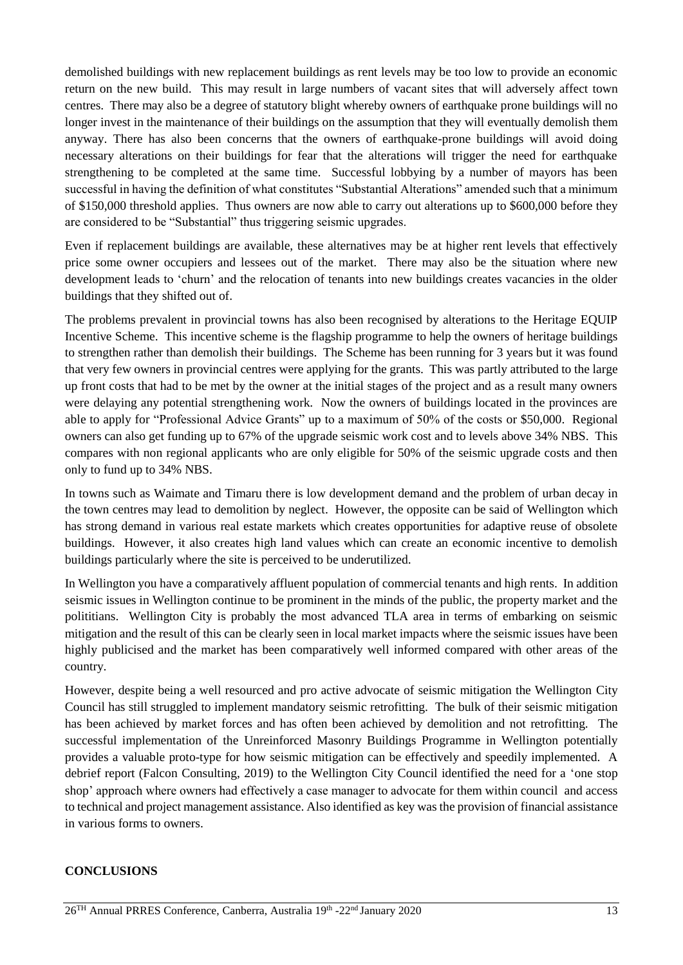demolished buildings with new replacement buildings as rent levels may be too low to provide an economic return on the new build. This may result in large numbers of vacant sites that will adversely affect town centres. There may also be a degree of statutory blight whereby owners of earthquake prone buildings will no longer invest in the maintenance of their buildings on the assumption that they will eventually demolish them anyway. There has also been concerns that the owners of earthquake-prone buildings will avoid doing necessary alterations on their buildings for fear that the alterations will trigger the need for earthquake strengthening to be completed at the same time. Successful lobbying by a number of mayors has been successful in having the definition of what constitutes "Substantial Alterations" amended such that a minimum of \$150,000 threshold applies. Thus owners are now able to carry out alterations up to \$600,000 before they are considered to be "Substantial" thus triggering seismic upgrades.

Even if replacement buildings are available, these alternatives may be at higher rent levels that effectively price some owner occupiers and lessees out of the market. There may also be the situation where new development leads to 'churn' and the relocation of tenants into new buildings creates vacancies in the older buildings that they shifted out of.

The problems prevalent in provincial towns has also been recognised by alterations to the Heritage EQUIP Incentive Scheme. This incentive scheme is the flagship programme to help the owners of heritage buildings to strengthen rather than demolish their buildings. The Scheme has been running for 3 years but it was found that very few owners in provincial centres were applying for the grants. This was partly attributed to the large up front costs that had to be met by the owner at the initial stages of the project and as a result many owners were delaying any potential strengthening work. Now the owners of buildings located in the provinces are able to apply for "Professional Advice Grants" up to a maximum of 50% of the costs or \$50,000. Regional owners can also get funding up to 67% of the upgrade seismic work cost and to levels above 34% NBS. This compares with non regional applicants who are only eligible for 50% of the seismic upgrade costs and then only to fund up to 34% NBS.

In towns such as Waimate and Timaru there is low development demand and the problem of urban decay in the town centres may lead to demolition by neglect. However, the opposite can be said of Wellington which has strong demand in various real estate markets which creates opportunities for adaptive reuse of obsolete buildings. However, it also creates high land values which can create an economic incentive to demolish buildings particularly where the site is perceived to be underutilized.

In Wellington you have a comparatively affluent population of commercial tenants and high rents. In addition seismic issues in Wellington continue to be prominent in the minds of the public, the property market and the polititians. Wellington City is probably the most advanced TLA area in terms of embarking on seismic mitigation and the result of this can be clearly seen in local market impacts where the seismic issues have been highly publicised and the market has been comparatively well informed compared with other areas of the country.

However, despite being a well resourced and pro active advocate of seismic mitigation the Wellington City Council has still struggled to implement mandatory seismic retrofitting. The bulk of their seismic mitigation has been achieved by market forces and has often been achieved by demolition and not retrofitting. The successful implementation of the Unreinforced Masonry Buildings Programme in Wellington potentially provides a valuable proto-type for how seismic mitigation can be effectively and speedily implemented. A debrief report (Falcon Consulting, 2019) to the Wellington City Council identified the need for a 'one stop shop' approach where owners had effectively a case manager to advocate for them within council and access to technical and project management assistance. Also identified as key was the provision of financial assistance in various forms to owners.

#### **CONCLUSIONS**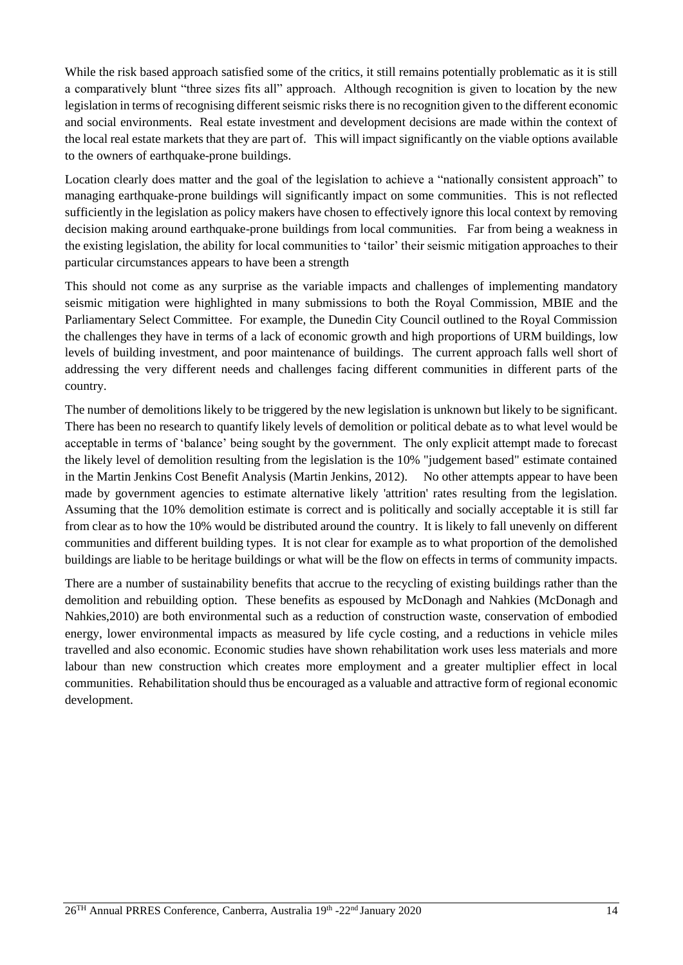While the risk based approach satisfied some of the critics, it still remains potentially problematic as it is still a comparatively blunt "three sizes fits all" approach. Although recognition is given to location by the new legislation in terms of recognising different seismic risks there is no recognition given to the different economic and social environments. Real estate investment and development decisions are made within the context of the local real estate markets that they are part of. This will impact significantly on the viable options available to the owners of earthquake-prone buildings.

Location clearly does matter and the goal of the legislation to achieve a "nationally consistent approach" to managing earthquake-prone buildings will significantly impact on some communities. This is not reflected sufficiently in the legislation as policy makers have chosen to effectively ignore this local context by removing decision making around earthquake-prone buildings from local communities. Far from being a weakness in the existing legislation, the ability for local communities to 'tailor' their seismic mitigation approaches to their particular circumstances appears to have been a strength

This should not come as any surprise as the variable impacts and challenges of implementing mandatory seismic mitigation were highlighted in many submissions to both the Royal Commission, MBIE and the Parliamentary Select Committee. For example, the Dunedin City Council outlined to the Royal Commission the challenges they have in terms of a lack of economic growth and high proportions of URM buildings, low levels of building investment, and poor maintenance of buildings. The current approach falls well short of addressing the very different needs and challenges facing different communities in different parts of the country.

The number of demolitions likely to be triggered by the new legislation is unknown but likely to be significant. There has been no research to quantify likely levels of demolition or political debate as to what level would be acceptable in terms of 'balance' being sought by the government. The only explicit attempt made to forecast the likely level of demolition resulting from the legislation is the 10% "judgement based" estimate contained in the Martin Jenkins Cost Benefit Analysis (Martin Jenkins, 2012). No other attempts appear to have been made by government agencies to estimate alternative likely 'attrition' rates resulting from the legislation. Assuming that the 10% demolition estimate is correct and is politically and socially acceptable it is still far from clear as to how the 10% would be distributed around the country. It is likely to fall unevenly on different communities and different building types. It is not clear for example as to what proportion of the demolished buildings are liable to be heritage buildings or what will be the flow on effects in terms of community impacts.

There are a number of sustainability benefits that accrue to the recycling of existing buildings rather than the demolition and rebuilding option. These benefits as espoused by McDonagh and Nahkies (McDonagh and Nahkies,2010) are both environmental such as a reduction of construction waste, conservation of embodied energy, lower environmental impacts as measured by life cycle costing, and a reductions in vehicle miles travelled and also economic. Economic studies have shown rehabilitation work uses less materials and more labour than new construction which creates more employment and a greater multiplier effect in local communities. Rehabilitation should thus be encouraged as a valuable and attractive form of regional economic development.